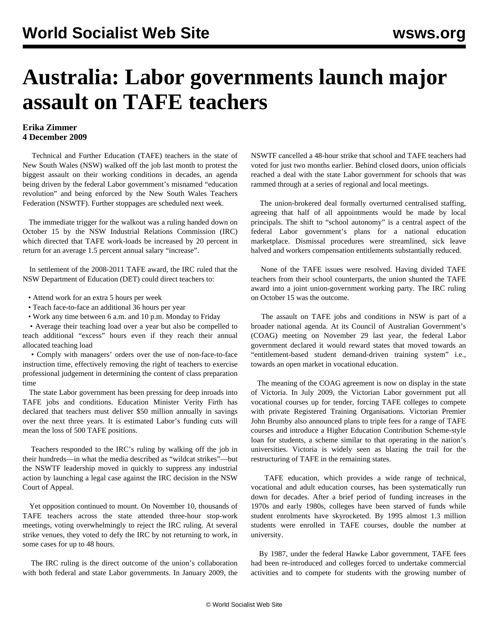## **Australia: Labor governments launch major assault on TAFE teachers**

## **Erika Zimmer 4 December 2009**

 Technical and Further Education (TAFE) teachers in the state of New South Wales (NSW) walked off the job last month to protest the biggest assault on their working conditions in decades, an agenda being driven by the federal Labor government's misnamed "education revolution" and being enforced by the New South Wales Teachers Federation (NSWTF). Further stoppages are scheduled next week.

 The immediate trigger for the walkout was a ruling handed down on October 15 by the NSW Industrial Relations Commission (IRC) which directed that TAFE work-loads be increased by 20 percent in return for an average 1.5 percent annual salary "increase".

 In settlement of the 2008-2011 TAFE award, the IRC ruled that the NSW Department of Education (DET) could direct teachers to:

- Attend work for an extra 5 hours per week
- Teach face-to-face an additional 36 hours per year
- Work any time between 6 a.m. and 10 p.m. Monday to Friday

 • Average their teaching load over a year but also be compelled to teach additional "excess" hours even if they reach their annual allocated teaching load

 • Comply with managers' orders over the use of non-face-to-face instruction time, effectively removing the right of teachers to exercise professional judgement in determining the content of class preparation time

 The state Labor government has been pressing for deep inroads into TAFE jobs and conditions. Education Minister Verity Firth has declared that teachers must deliver \$50 million annually in savings over the next three years. It is estimated Labor's funding cuts will mean the loss of 500 TAFE positions.

 Teachers responded to the IRC's ruling by walking off the job in their hundreds—in what the media described as "wildcat strikes"—but the NSWTF leadership moved in quickly to suppress any industrial action by launching a legal case against the IRC decision in the NSW Court of Appeal.

 Yet opposition continued to mount. On November 10, thousands of TAFE teachers across the state attended three-hour stop-work meetings, voting overwhelmingly to reject the IRC ruling. At several strike venues, they voted to defy the IRC by not returning to work, in some cases for up to 48 hours.

 The IRC ruling is the direct outcome of the union's collaboration with both federal and state Labor governments. In January 2009, the NSWTF cancelled a 48-hour strike that school and TAFE teachers had voted for just two months earlier. Behind closed doors, union officials reached a deal with the state Labor government for schools that was rammed through at a series of regional and local meetings.

 The union-brokered deal formally overturned centralised staffing, agreeing that half of all appointments would be made by local principals. The shift to "school autonomy" is a central aspect of the federal Labor government's plans for a national education marketplace. Dismissal procedures were streamlined, sick leave halved and workers compensation entitlements substantially reduced.

 None of the TAFE issues were resolved. Having divided TAFE teachers from their school counterparts, the union shunted the TAFE award into a joint union-government working party. The IRC ruling on October 15 was the outcome.

 The assault on TAFE jobs and conditions in NSW is part of a broader national agenda. At its Council of Australian Government's (COAG) meeting on November 29 last year, the federal Labor government declared it would reward states that moved towards an "entitlement-based student demand-driven training system" i.e., towards an open market in vocational education.

 The meaning of the COAG agreement is now on display in the state of Victoria. In July 2009, the Victorian Labor government put all vocational courses up for tender, forcing TAFE colleges to compete with private Registered Training Organisations. Victorian Premier John Brumby also announced plans to triple fees for a range of TAFE courses and introduce a Higher Education Contribution Scheme-style loan for students, a scheme similar to that operating in the nation's universities. Victoria is widely seen as blazing the trail for the restructuring of TAFE in the remaining states.

 TAFE education, which provides a wide range of technical, vocational and adult education courses, has been systematically run down for decades. After a brief period of funding increases in the 1970s and early 1980s, colleges have been starved of funds while student enrolments have skyrocketed. By 1995 almost 1.3 million students were enrolled in TAFE courses, double the number at university.

 By 1987, under the federal Hawke Labor government, TAFE fees had been re-introduced and colleges forced to undertake commercial activities and to compete for students with the growing number of